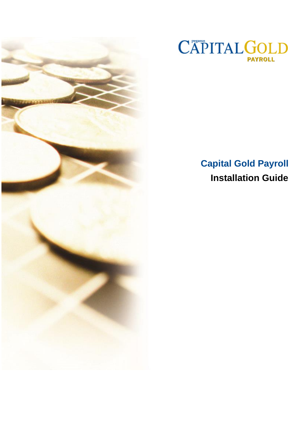



# **Capital Gold Payroll Installation Guide**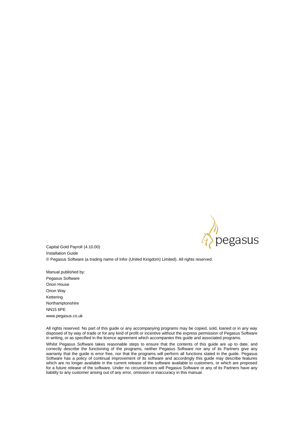

Capital Gold Payroll (4.10.00) Installation Guide © Pegasus Software (a trading name of Infor (United Kingdom) Limited). All rights reserved.

Manual published by: Pegasus Software Orion House Orion Way Kettering Northamptonshire NN15 6PE www.pegasus.co.uk

All rights reserved. No part of this guide or any accompanying programs may be copied, sold, loaned or in any way disposed of by way of trade or for any kind of profit or incentive without the express permission of Pegasus Software in writing, or as specified in the licence agreement which accompanies this guide and associated programs.

Whilst Pegasus Software takes reasonable steps to ensure that the contents of this guide are up to date, and correctly describe the functioning of the programs, neither Pegasus Software nor any of its Partners give any warranty that the guide is error free, nor that the programs will perform all functions stated in the guide. Pegasus Software has a policy of continual improvement of its software and accordingly this guide may describe features which are no longer available in the current release of the software available to customers, or which are proposed for a future release of the software. Under no circumstances will Pegasus Software or any of its Partners have any liability to any customer arising out of any error, omission or inaccuracy in this manual.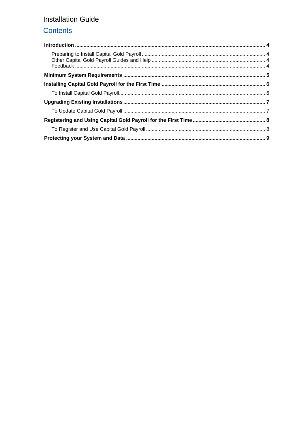## Contents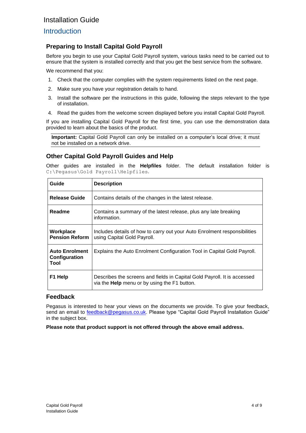#### <span id="page-3-0"></span>**Introduction**

#### <span id="page-3-1"></span>**Preparing to Install Capital Gold Payroll**

Before you begin to use your Capital Gold Payroll system, various tasks need to be carried out to ensure that the system is installed correctly and that you get the best service from the software.

We recommend that you:

- 1. Check that the computer complies with the system requirements listed on the next page.
- 2. Make sure you have your registration details to hand.
- 3. Install the software per the instructions in this guide, following the steps relevant to the type of installation.
- 4. Read the guides from the welcome screen displayed before you install Capital Gold Payroll.

If you are installing Capital Gold Payroll for the first time, you can use the demonstration data provided to learn about the basics of the product.

**Important:** Capital Gold Payroll can only be installed on a computer's local drive; it must not be installed on a network drive.

#### <span id="page-3-2"></span>**Other Capital Gold Payroll Guides and Help**

Other guides are installed in the **Helpfiles** folder. The default installation folder is C:\Pegasus\Gold Payroll\Helpfiles.

| Guide                                          | <b>Description</b>                                                                                                              |
|------------------------------------------------|---------------------------------------------------------------------------------------------------------------------------------|
| <b>Release Guide</b>                           | Contains details of the changes in the latest release.                                                                          |
| Readme                                         | Contains a summary of the latest release, plus any late breaking<br>information.                                                |
| Workplace<br><b>Pension Reform</b>             | Includes details of how to carry out your Auto Enrolment responsibilities<br>using Capital Gold Payroll.                        |
| <b>Auto Enrolment</b><br>Configuration<br>Tool | Explains the Auto Enrolment Configuration Tool in Capital Gold Payroll.                                                         |
| F1 Help                                        | Describes the screens and fields in Capital Gold Payroll. It is accessed<br>via the <b>Help</b> menu or by using the F1 button. |

#### <span id="page-3-3"></span>**Feedback**

Pegasus is interested to hear your views on the documents we provide. To give your feedback, send an email to **feedback@pegasus.co.uk**. Please type "Capital Gold Payroll Installation Guide" in the subject box.

**Please note that product support is not offered through the above email address.**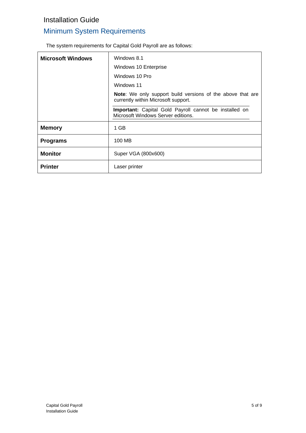## <span id="page-4-0"></span>Minimum System Requirements

The system requirements for Capital Gold Payroll are as follows:

| <b>Microsoft Windows</b> | Windows 8.1                                                                                              |
|--------------------------|----------------------------------------------------------------------------------------------------------|
|                          | Windows 10 Enterprise                                                                                    |
|                          | Windows 10 Pro                                                                                           |
|                          | Windows 11                                                                                               |
|                          | <b>Note:</b> We only support build versions of the above that are<br>currently within Microsoft support. |
|                          | Important: Capital Gold Payroll cannot be installed on<br>Microsoft Windows Server editions.             |
| <b>Memory</b>            | 1 GB                                                                                                     |
| <b>Programs</b>          | 100 MB                                                                                                   |
| <b>Monitor</b>           | Super VGA (800x600)                                                                                      |
| <b>Printer</b>           | Laser printer                                                                                            |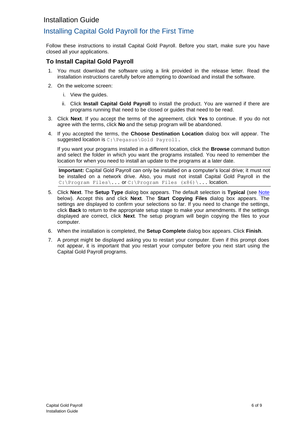## <span id="page-5-0"></span>Installing Capital Gold Payroll for the First Time

Follow these instructions to install Capital Gold Payroll. Before you start, make sure you have closed all your applications.

#### <span id="page-5-1"></span>**To Install Capital Gold Payroll**

- 1. You must download the software using a link provided in the release letter. Read the installation instructions carefully before attempting to download and install the software.
- 2. On the welcome screen:
	- i. View the guides.
	- ii. Click **Install Capital Gold Payroll** to install the product. You are warned if there are programs running that need to be closed or guides that need to be read.
- 3. Click **Next**. If you accept the terms of the agreement, click **Yes** to continue. If you do not agree with the terms, click **No** and the setup program will be abandoned.
- 4. If you accepted the terms, the **Choose Destination Location** dialog box will appear. The suggested location is C:\Pegasus\Gold Payroll.

If you want your programs installed in a different location, click the **Browse** command button and select the folder in which you want the programs installed. You need to remember the location for when you need to install an update to the programs at a later date.

**Important:** Capital Gold Payroll can only be installed on a computer's local drive; it must not be installed on a network drive. Also, you must not install Capital Gold Payroll in the C:\Program Files\... Or C:\Program Files (x86)\... location.

- 5. Click **Next**. The **Setup Type** dialog box appears. The default selection is **Typical** (see [Note](#page-5-2)  below). Accept this and click **Next**. The **Start Copying Files** dialog box appears. The settings are displayed to confirm your selections so far. If you need to change the settings, click **Back** to return to the appropriate setup stage to make your amendments. If the settings displayed are correct, click **Next**. The setup program will begin copying the files to your computer.
- 6. When the installation is completed, the **Setup Complete** dialog box appears. Click **Finish**.
- <span id="page-5-2"></span>7. A prompt might be displayed asking you to restart your computer. Even if this prompt does not appear, it is important that you restart your computer before you next start using the Capital Gold Payroll programs.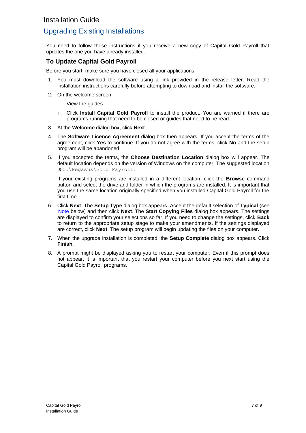### <span id="page-6-0"></span>Upgrading Existing Installations

You need to follow these instructions if you receive a new copy of Capital Gold Payroll that updates the one you have already installed.

#### <span id="page-6-1"></span>**To Update Capital Gold Payroll**

Before you start, make sure you have closed all your applications.

- 1. You must download the software using a link provided in the release letter. Read the installation instructions carefully before attempting to download and install the software.
- 2. On the welcome screen:
	- i. View the guides.
	- ii. Click **Install Capital Gold Payroll** to install the product. You are warned if there are programs running that need to be closed or guides that need to be read.
- 3. At the **Welcome** dialog box, click **Next**.
- 4. The **Software Licence Agreement** dialog box then appears. If you accept the terms of the agreement, click **Yes** to continue. If you do not agree with the terms, click **No** and the setup program will be abandoned.
- 5. If you accepted the terms, the **Choose Destination Location** dialog box will appear. The default location depends on the version of Windows on the computer. The suggested location is C:\Pegasus\Gold Payroll.

If your existing programs are installed in a different location, click the **Browse** command button and select the drive and folder in which the programs are installed. It is important that you use the same location originally specified when you installed Capital Gold Payroll for the first time.

- 6. Click **Next**. The **Setup Type** dialog box appears. Accept the default selection of **Typical** (see [Note b](#page-6-2)elow) and then click **Next**. The **Start Copying Files** dialog box appears. The settings are displayed to confirm your selections so far. If you need to change the settings, click **Back** to return to the appropriate setup stage to make your amendments. If the settings displayed are correct, click **Next**. The setup program will begin updating the files on your computer.
- 7. When the upgrade installation is completed, the **Setup Complete** dialog box appears. Click **Finish**.
- <span id="page-6-2"></span>8. A prompt might be displayed asking you to restart your computer. Even if this prompt does not appear, it is important that you restart your computer before you next start using the Capital Gold Payroll programs.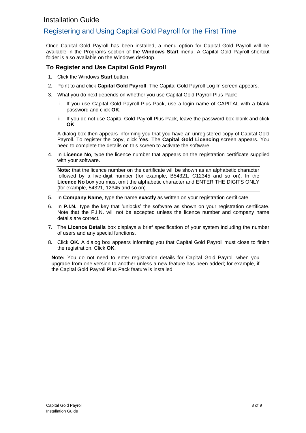## <span id="page-7-0"></span>Registering and Using Capital Gold Payroll for the First Time

Once Capital Gold Payroll has been installed, a menu option for Capital Gold Payroll will be available in the Programs section of the **Windows Start** menu. A Capital Gold Payroll shortcut folder is also available on the Windows desktop.

#### <span id="page-7-1"></span>**To Register and Use Capital Gold Payroll**

- 1. Click the Windows **Start** button.
- 2. Point to and click **Capital Gold Payroll**. The Capital Gold Payroll Log In screen appears.
- 3. What you do next depends on whether you use Capital Gold Payroll Plus Pack:
	- i. If you use Capital Gold Payroll Plus Pack, use a login name of CAPITAL with a blank password and click **OK**.
	- ii. If you do not use Capital Gold Payroll Plus Pack, leave the password box blank and click **OK**.

A dialog box then appears informing you that you have an unregistered copy of Capital Gold Payroll. To register the copy, click **Yes**. The **Capital Gold Licencing** screen appears. You need to complete the details on this screen to activate the software.

4. In **Licence No***,* type the licence number that appears on the registration certificate supplied with your software.

**Note:** that the licence number on the certificate will be shown as an alphabetic character followed by a five-digit number (for example, B54321, C12345 and so on). In the **Licence No** box you must omit the alphabetic character and ENTER THE DIGITS ONLY (for example, 54321, 12345 and so on).

- 5. In **Company Name**, type the name **exactly** as written on your registration certificate.
- 6. In **P.I.N.**, type the key that 'unlocks' the software as shown on your registration certificate. Note that the P.I.N. will not be accepted unless the licence number and company name details are correct.
- 7. The **Licence Details** box displays a brief specification of your system including the number of users and any special functions.
- 8. Click **OK.** A dialog box appears informing you that Capital Gold Payroll must close to finish the registration. Click **OK**.

**Note:** You do not need to enter registration details for Capital Gold Payroll when you upgrade from one version to another unless a new feature has been added; for example, if the Capital Gold Payroll Plus Pack feature is installed.